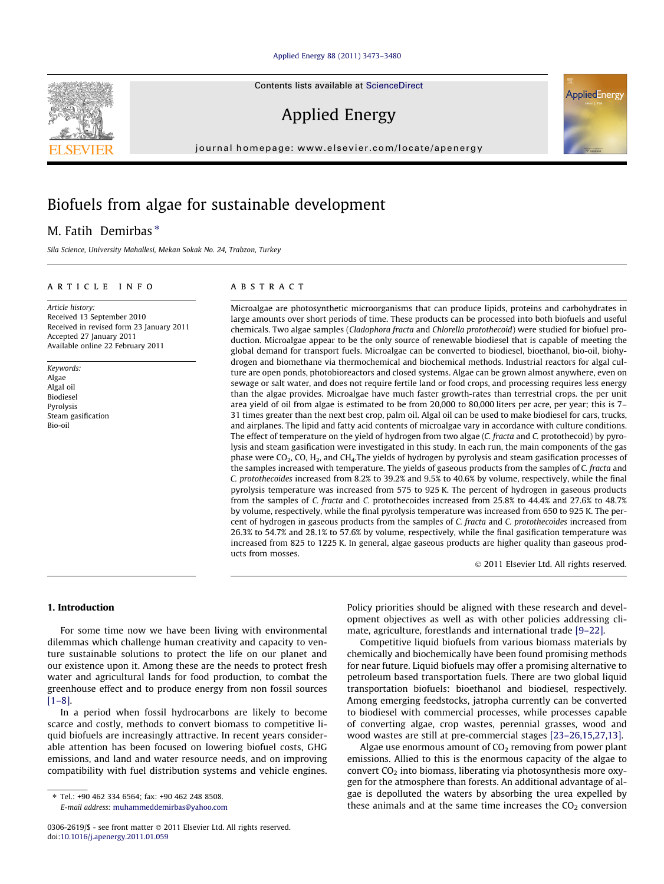#### [Applied Energy 88 \(2011\) 3473–3480](http://dx.doi.org/10.1016/j.apenergy.2011.01.059)

Contents lists available at [ScienceDirect](http://www.sciencedirect.com/science/journal/03062619)

Applied Energy

journal homepage: [www.elsevier.com/locate/apenergy](http://www.elsevier.com/locate/apenergy)

# Biofuels from algae for sustainable development

# M. Fatih Demirbas<sup>\*</sup>

Sila Science, University Mahallesi, Mekan Sokak No. 24, Trabzon, Turkey

#### article info

Article history: Received 13 September 2010 Received in revised form 23 January 2011 Accepted 27 January 2011 Available online 22 February 2011

Keywords: Algae Algal oil Biodiesel Pyrolysis Steam gasification Bio-oil

# **ABSTRACT**

Microalgae are photosynthetic microorganisms that can produce lipids, proteins and carbohydrates in large amounts over short periods of time. These products can be processed into both biofuels and useful chemicals. Two algae samples (Cladophora fracta and Chlorella protothecoid) were studied for biofuel production. Microalgae appear to be the only source of renewable biodiesel that is capable of meeting the global demand for transport fuels. Microalgae can be converted to biodiesel, bioethanol, bio-oil, biohydrogen and biomethane via thermochemical and biochemical methods. Industrial reactors for algal culture are open ponds, photobioreactors and closed systems. Algae can be grown almost anywhere, even on sewage or salt water, and does not require fertile land or food crops, and processing requires less energy than the algae provides. Microalgae have much faster growth-rates than terrestrial crops. the per unit area yield of oil from algae is estimated to be from 20,000 to 80,000 liters per acre, per year; this is 7– 31 times greater than the next best crop, palm oil. Algal oil can be used to make biodiesel for cars, trucks, and airplanes. The lipid and fatty acid contents of microalgae vary in accordance with culture conditions. The effect of temperature on the yield of hydrogen from two algae (C. fracta and C. protothecoid) by pyrolysis and steam gasification were investigated in this study. In each run, the main components of the gas phase were  $CO<sub>2</sub>$ , CO, H<sub>2</sub>, and CH<sub>4</sub>.The yields of hydrogen by pyrolysis and steam gasification processes of the samples increased with temperature. The yields of gaseous products from the samples of C. fracta and C. protothecoides increased from 8.2% to 39.2% and 9.5% to 40.6% by volume, respectively, while the final pyrolysis temperature was increased from 575 to 925 K. The percent of hydrogen in gaseous products from the samples of C. fracta and C. protothecoides increased from 25.8% to 44.4% and 27.6% to 48.7% by volume, respectively, while the final pyrolysis temperature was increased from 650 to 925 K. The percent of hydrogen in gaseous products from the samples of C. fracta and C. protothecoides increased from 26.3% to 54.7% and 28.1% to 57.6% by volume, respectively, while the final gasification temperature was increased from 825 to 1225 K. In general, algae gaseous products are higher quality than gaseous products from mosses.

- 2011 Elsevier Ltd. All rights reserved.

# 1. Introduction

For some time now we have been living with environmental dilemmas which challenge human creativity and capacity to venture sustainable solutions to protect the life on our planet and our existence upon it. Among these are the needs to protect fresh water and agricultural lands for food production, to combat the greenhouse effect and to produce energy from non fossil sources [\[1–8\].](#page-6-0)

In a period when fossil hydrocarbons are likely to become scarce and costly, methods to convert biomass to competitive liquid biofuels are increasingly attractive. In recent years considerable attention has been focused on lowering biofuel costs, GHG emissions, and land and water resource needs, and on improving compatibility with fuel distribution systems and vehicle engines.

⇑ Tel.: +90 462 334 6564; fax: +90 462 248 8508. E-mail address: [muhammeddemirbas@yahoo.com](mailto:muhammeddemirbas@yahoo.com) Policy priorities should be aligned with these research and development objectives as well as with other policies addressing climate, agriculture, forestlands and international trade [\[9–22\]](#page-6-0).

Competitive liquid biofuels from various biomass materials by chemically and biochemically have been found promising methods for near future. Liquid biofuels may offer a promising alternative to petroleum based transportation fuels. There are two global liquid transportation biofuels: bioethanol and biodiesel, respectively. Among emerging feedstocks, jatropha currently can be converted to biodiesel with commercial processes, while processes capable of converting algae, crop wastes, perennial grasses, wood and wood wastes are still at pre-commercial stages [\[23–26,15,27,13\].](#page-6-0)

Algae use enormous amount of  $CO<sub>2</sub>$  removing from power plant emissions. Allied to this is the enormous capacity of the algae to convert  $CO<sub>2</sub>$  into biomass, liberating via photosynthesis more oxygen for the atmosphere than forests. An additional advantage of algae is depolluted the waters by absorbing the urea expelled by these animals and at the same time increases the  $CO<sub>2</sub>$  conversion





<sup>0306-2619/\$ -</sup> see front matter © 2011 Elsevier Ltd. All rights reserved. doi[:10.1016/j.apenergy.2011.01.059](http://dx.doi.org/10.1016/j.apenergy.2011.01.059)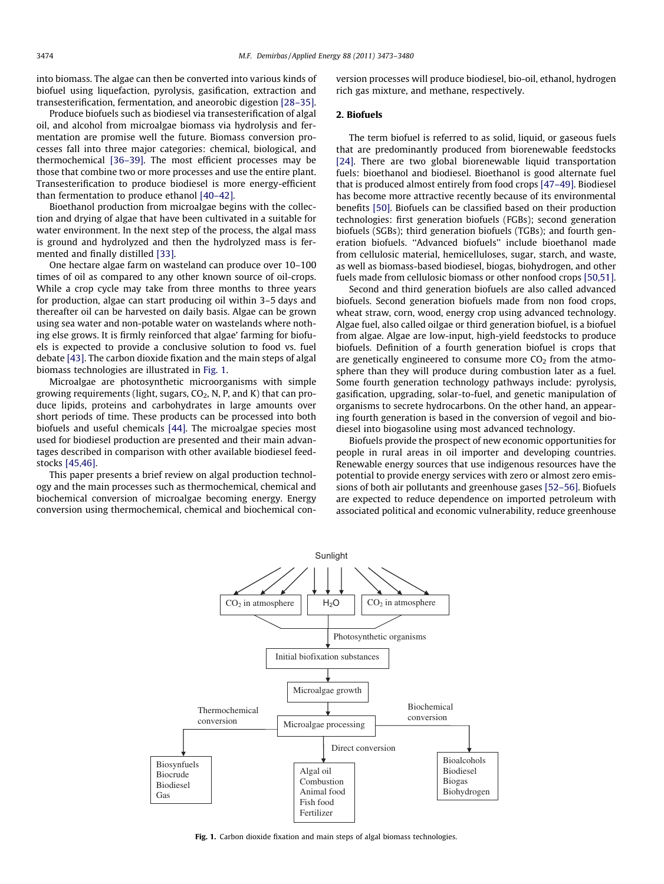into biomass. The algae can then be converted into various kinds of biofuel using liquefaction, pyrolysis, gasification, extraction and transesterification, fermentation, and aneorobic digestion [\[28–35\].](#page-6-0)

Produce biofuels such as biodiesel via transesterification of algal oil, and alcohol from microalgae biomass via hydrolysis and fermentation are promise well the future. Biomass conversion processes fall into three major categories: chemical, biological, and thermochemical [\[36–39\].](#page-6-0) The most efficient processes may be those that combine two or more processes and use the entire plant. Transesterification to produce biodiesel is more energy-efficient than fermentation to produce ethanol [\[40–42\]](#page-6-0).

Bioethanol production from microalgae begins with the collection and drying of algae that have been cultivated in a suitable for water environment. In the next step of the process, the algal mass is ground and hydrolyzed and then the hydrolyzed mass is fermented and finally distilled [\[33\]](#page-6-0).

One hectare algae farm on wasteland can produce over 10–100 times of oil as compared to any other known source of oil-crops. While a crop cycle may take from three months to three years for production, algae can start producing oil within 3–5 days and thereafter oil can be harvested on daily basis. Algae can be grown using sea water and non-potable water on wastelands where nothing else grows. It is firmly reinforced that algae' farming for biofuels is expected to provide a conclusive solution to food vs. fuel debate [\[43\].](#page-6-0) The carbon dioxide fixation and the main steps of algal biomass technologies are illustrated in Fig. 1.

Microalgae are photosynthetic microorganisms with simple growing requirements (light, sugars,  $CO<sub>2</sub>$ , N, P, and K) that can produce lipids, proteins and carbohydrates in large amounts over short periods of time. These products can be processed into both biofuels and useful chemicals [\[44\].](#page-6-0) The microalgae species most used for biodiesel production are presented and their main advantages described in comparison with other available biodiesel feedstocks [\[45,46\].](#page-6-0)

This paper presents a brief review on algal production technology and the main processes such as thermochemical, chemical and biochemical conversion of microalgae becoming energy. Energy conversion using thermochemical, chemical and biochemical conversion processes will produce biodiesel, bio-oil, ethanol, hydrogen rich gas mixture, and methane, respectively.

#### 2. Biofuels

The term biofuel is referred to as solid, liquid, or gaseous fuels that are predominantly produced from biorenewable feedstocks [\[24\]](#page-6-0). There are two global biorenewable liquid transportation fuels: bioethanol and biodiesel. Bioethanol is good alternate fuel that is produced almost entirely from food crops [\[47–49\].](#page-6-0) Biodiesel has become more attractive recently because of its environmental benefits [\[50\]](#page-6-0). Biofuels can be classified based on their production technologies: first generation biofuels (FGBs); second generation biofuels (SGBs); third generation biofuels (TGBs); and fourth generation biofuels. ''Advanced biofuels'' include bioethanol made from cellulosic material, hemicelluloses, sugar, starch, and waste, as well as biomass-based biodiesel, biogas, biohydrogen, and other fuels made from cellulosic biomass or other nonfood crops [\[50,51\].](#page-6-0)

Second and third generation biofuels are also called advanced biofuels. Second generation biofuels made from non food crops, wheat straw, corn, wood, energy crop using advanced technology. Algae fuel, also called oilgae or third generation biofuel, is a biofuel from algae. Algae are low-input, high-yield feedstocks to produce biofuels. Definition of a fourth generation biofuel is crops that are genetically engineered to consume more  $CO<sub>2</sub>$  from the atmosphere than they will produce during combustion later as a fuel. Some fourth generation technology pathways include: pyrolysis, gasification, upgrading, solar-to-fuel, and genetic manipulation of organisms to secrete hydrocarbons. On the other hand, an appearing fourth generation is based in the conversion of vegoil and biodiesel into biogasoline using most advanced technology.

Biofuels provide the prospect of new economic opportunities for people in rural areas in oil importer and developing countries. Renewable energy sources that use indigenous resources have the potential to provide energy services with zero or almost zero emissions of both air pollutants and greenhouse gases [\[52–56\].](#page-6-0) Biofuels are expected to reduce dependence on imported petroleum with associated political and economic vulnerability, reduce greenhouse



Fig. 1. Carbon dioxide fixation and main steps of algal biomass technologies.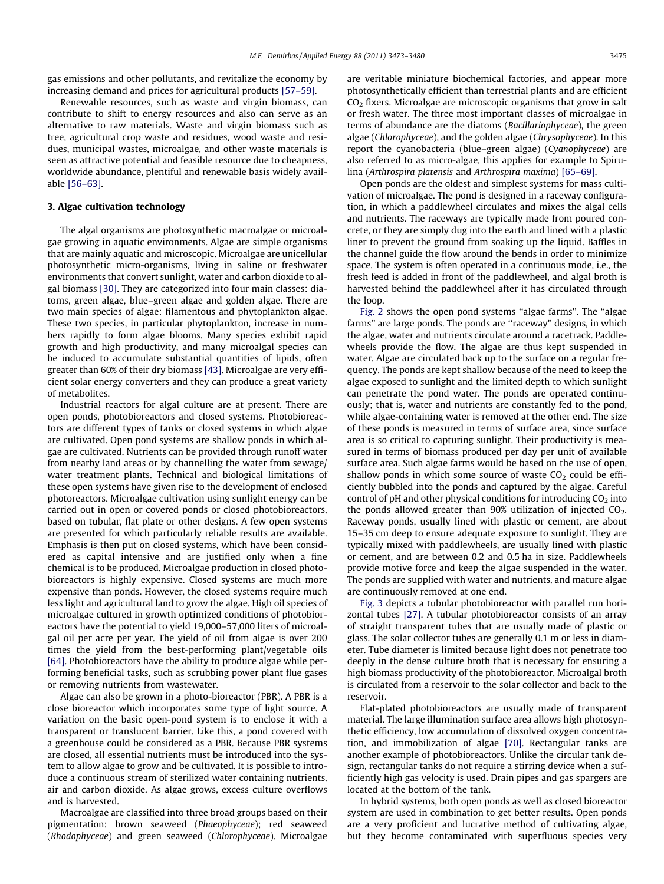gas emissions and other pollutants, and revitalize the economy by increasing demand and prices for agricultural products [\[57–59\].](#page-6-0)

Renewable resources, such as waste and virgin biomass, can contribute to shift to energy resources and also can serve as an alternative to raw materials. Waste and virgin biomass such as tree, agricultural crop waste and residues, wood waste and residues, municipal wastes, microalgae, and other waste materials is seen as attractive potential and feasible resource due to cheapness, worldwide abundance, plentiful and renewable basis widely available [\[56–63\].](#page-6-0)

## 3. Algae cultivation technology

The algal organisms are photosynthetic macroalgae or microalgae growing in aquatic environments. Algae are simple organisms that are mainly aquatic and microscopic. Microalgae are unicellular photosynthetic micro-organisms, living in saline or freshwater environments that convert sunlight, water and carbon dioxide to algal biomass [\[30\].](#page-6-0) They are categorized into four main classes: diatoms, green algae, blue–green algae and golden algae. There are two main species of algae: filamentous and phytoplankton algae. These two species, in particular phytoplankton, increase in numbers rapidly to form algae blooms. Many species exhibit rapid growth and high productivity, and many microalgal species can be induced to accumulate substantial quantities of lipids, often greater than 60% of their dry biomass [\[43\].](#page-6-0) Microalgae are very efficient solar energy converters and they can produce a great variety of metabolites.

Industrial reactors for algal culture are at present. There are open ponds, photobioreactors and closed systems. Photobioreactors are different types of tanks or closed systems in which algae are cultivated. Open pond systems are shallow ponds in which algae are cultivated. Nutrients can be provided through runoff water from nearby land areas or by channelling the water from sewage/ water treatment plants. Technical and biological limitations of these open systems have given rise to the development of enclosed photoreactors. Microalgae cultivation using sunlight energy can be carried out in open or covered ponds or closed photobioreactors, based on tubular, flat plate or other designs. A few open systems are presented for which particularly reliable results are available. Emphasis is then put on closed systems, which have been considered as capital intensive and are justified only when a fine chemical is to be produced. Microalgae production in closed photobioreactors is highly expensive. Closed systems are much more expensive than ponds. However, the closed systems require much less light and agricultural land to grow the algae. High oil species of microalgae cultured in growth optimized conditions of photobioreactors have the potential to yield 19,000–57,000 liters of microalgal oil per acre per year. The yield of oil from algae is over 200 times the yield from the best-performing plant/vegetable oils [\[64\].](#page-7-0) Photobioreactors have the ability to produce algae while performing beneficial tasks, such as scrubbing power plant flue gases or removing nutrients from wastewater.

Algae can also be grown in a photo-bioreactor (PBR). A PBR is a close bioreactor which incorporates some type of light source. A variation on the basic open-pond system is to enclose it with a transparent or translucent barrier. Like this, a pond covered with a greenhouse could be considered as a PBR. Because PBR systems are closed, all essential nutrients must be introduced into the system to allow algae to grow and be cultivated. It is possible to introduce a continuous stream of sterilized water containing nutrients, air and carbon dioxide. As algae grows, excess culture overflows and is harvested.

Macroalgae are classified into three broad groups based on their pigmentation: brown seaweed (Phaeophyceae); red seaweed (Rhodophyceae) and green seaweed (Chlorophyceae). Microalgae are veritable miniature biochemical factories, and appear more photosynthetically efficient than terrestrial plants and are efficient  $CO<sub>2</sub>$  fixers. Microalgae are microscopic organisms that grow in salt or fresh water. The three most important classes of microalgae in terms of abundance are the diatoms (Bacillariophyceae), the green algae (Chlorophyceae), and the golden algae (Chrysophyceae). In this report the cyanobacteria (blue–green algae) (Cyanophyceae) are also referred to as micro-algae, this applies for example to Spirulina (Arthrospira platensis and Arthrospira maxima) [\[65–69\].](#page-7-0)

Open ponds are the oldest and simplest systems for mass cultivation of microalgae. The pond is designed in a raceway configuration, in which a paddlewheel circulates and mixes the algal cells and nutrients. The raceways are typically made from poured concrete, or they are simply dug into the earth and lined with a plastic liner to prevent the ground from soaking up the liquid. Baffles in the channel guide the flow around the bends in order to minimize space. The system is often operated in a continuous mode, i.e., the fresh feed is added in front of the paddlewheel, and algal broth is harvested behind the paddlewheel after it has circulated through the loop.

[Fig. 2](#page-3-0) shows the open pond systems ''algae farms''. The ''algae farms'' are large ponds. The ponds are ''raceway'' designs, in which the algae, water and nutrients circulate around a racetrack. Paddlewheels provide the flow. The algae are thus kept suspended in water. Algae are circulated back up to the surface on a regular frequency. The ponds are kept shallow because of the need to keep the algae exposed to sunlight and the limited depth to which sunlight can penetrate the pond water. The ponds are operated continuously; that is, water and nutrients are constantly fed to the pond, while algae-containing water is removed at the other end. The size of these ponds is measured in terms of surface area, since surface area is so critical to capturing sunlight. Their productivity is measured in terms of biomass produced per day per unit of available surface area. Such algae farms would be based on the use of open, shallow ponds in which some source of waste  $CO<sub>2</sub>$  could be efficiently bubbled into the ponds and captured by the algae. Careful control of pH and other physical conditions for introducing  $CO<sub>2</sub>$  into the ponds allowed greater than  $90\%$  utilization of injected  $CO<sub>2</sub>$ . Raceway ponds, usually lined with plastic or cement, are about 15–35 cm deep to ensure adequate exposure to sunlight. They are typically mixed with paddlewheels, are usually lined with plastic or cement, and are between 0.2 and 0.5 ha in size. Paddlewheels provide motive force and keep the algae suspended in the water. The ponds are supplied with water and nutrients, and mature algae are continuously removed at one end.

[Fig. 3](#page-3-0) depicts a tubular photobioreactor with parallel run horizontal tubes [\[27\].](#page-6-0) A tubular photobioreactor consists of an array of straight transparent tubes that are usually made of plastic or glass. The solar collector tubes are generally 0.1 m or less in diameter. Tube diameter is limited because light does not penetrate too deeply in the dense culture broth that is necessary for ensuring a high biomass productivity of the photobioreactor. Microalgal broth is circulated from a reservoir to the solar collector and back to the reservoir.

Flat-plated photobioreactors are usually made of transparent material. The large illumination surface area allows high photosynthetic efficiency, low accumulation of dissolved oxygen concentration, and immobilization of algae [\[70\]](#page-7-0). Rectangular tanks are another example of photobioreactors. Unlike the circular tank design, rectangular tanks do not require a stirring device when a sufficiently high gas velocity is used. Drain pipes and gas spargers are located at the bottom of the tank.

In hybrid systems, both open ponds as well as closed bioreactor system are used in combination to get better results. Open ponds are a very proficient and lucrative method of cultivating algae, but they become contaminated with superfluous species very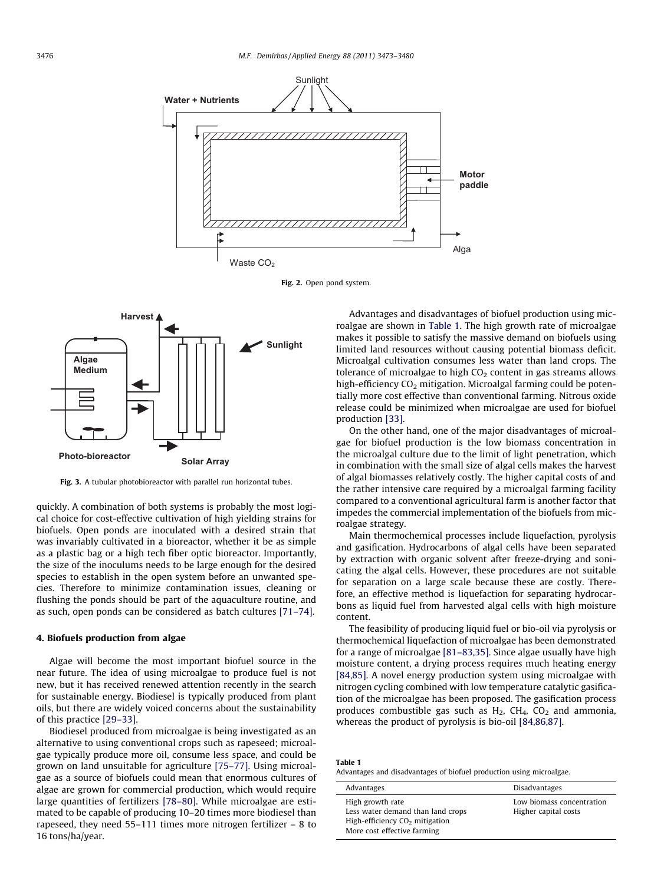<span id="page-3-0"></span>

Fig. 2. Open pond system.



Fig. 3. A tubular photobioreactor with parallel run horizontal tubes.

quickly. A combination of both systems is probably the most logical choice for cost-effective cultivation of high yielding strains for biofuels. Open ponds are inoculated with a desired strain that was invariably cultivated in a bioreactor, whether it be as simple as a plastic bag or a high tech fiber optic bioreactor. Importantly, the size of the inoculums needs to be large enough for the desired species to establish in the open system before an unwanted species. Therefore to minimize contamination issues, cleaning or flushing the ponds should be part of the aquaculture routine, and as such, open ponds can be considered as batch cultures [\[71–74\]](#page-7-0).

#### 4. Biofuels production from algae

Algae will become the most important biofuel source in the near future. The idea of using microalgae to produce fuel is not new, but it has received renewed attention recently in the search for sustainable energy. Biodiesel is typically produced from plant oils, but there are widely voiced concerns about the sustainability of this practice [\[29–33\].](#page-6-0)

Biodiesel produced from microalgae is being investigated as an alternative to using conventional crops such as rapeseed; microalgae typically produce more oil, consume less space, and could be grown on land unsuitable for agriculture [\[75–77\].](#page-7-0) Using microalgae as a source of biofuels could mean that enormous cultures of algae are grown for commercial production, which would require large quantities of fertilizers [\[78–80\].](#page-7-0) While microalgae are estimated to be capable of producing 10–20 times more biodiesel than rapeseed, they need 55–111 times more nitrogen fertilizer – 8 to 16 tons/ha/year.

Advantages and disadvantages of biofuel production using microalgae are shown in Table 1. The high growth rate of microalgae makes it possible to satisfy the massive demand on biofuels using limited land resources without causing potential biomass deficit. Microalgal cultivation consumes less water than land crops. The tolerance of microalgae to high  $CO<sub>2</sub>$  content in gas streams allows high-efficiency  $CO<sub>2</sub>$  mitigation. Microalgal farming could be potentially more cost effective than conventional farming. Nitrous oxide release could be minimized when microalgae are used for biofuel production [\[33\]](#page-6-0).

On the other hand, one of the major disadvantages of microalgae for biofuel production is the low biomass concentration in the microalgal culture due to the limit of light penetration, which in combination with the small size of algal cells makes the harvest of algal biomasses relatively costly. The higher capital costs of and the rather intensive care required by a microalgal farming facility compared to a conventional agricultural farm is another factor that impedes the commercial implementation of the biofuels from microalgae strategy.

Main thermochemical processes include liquefaction, pyrolysis and gasification. Hydrocarbons of algal cells have been separated by extraction with organic solvent after freeze-drying and sonicating the algal cells. However, these procedures are not suitable for separation on a large scale because these are costly. Therefore, an effective method is liquefaction for separating hydrocarbons as liquid fuel from harvested algal cells with high moisture content.

The feasibility of producing liquid fuel or bio-oil via pyrolysis or thermochemical liquefaction of microalgae has been demonstrated for a range of microalgae [\[81–83,35\].](#page-7-0) Since algae usually have high moisture content, a drying process requires much heating energy [\[84,85\].](#page-7-0) A novel energy production system using microalgae with nitrogen cycling combined with low temperature catalytic gasification of the microalgae has been proposed. The gasification process produces combustible gas such as  $H_2$ , CH<sub>4</sub>, CO<sub>2</sub> and ammonia, whereas the product of pyrolysis is bio-oil [\[84,86,87\]](#page-7-0).

| Table 1                                                              |
|----------------------------------------------------------------------|
| Advantages and disadvantages of biofuel production using microalgae. |

| Advantages                                                                                                               | Disadvantages                                     |
|--------------------------------------------------------------------------------------------------------------------------|---------------------------------------------------|
| High growth rate<br>Less water demand than land crops<br>High-efficiency $CO2$ mitigation<br>More cost effective farming | Low biomass concentration<br>Higher capital costs |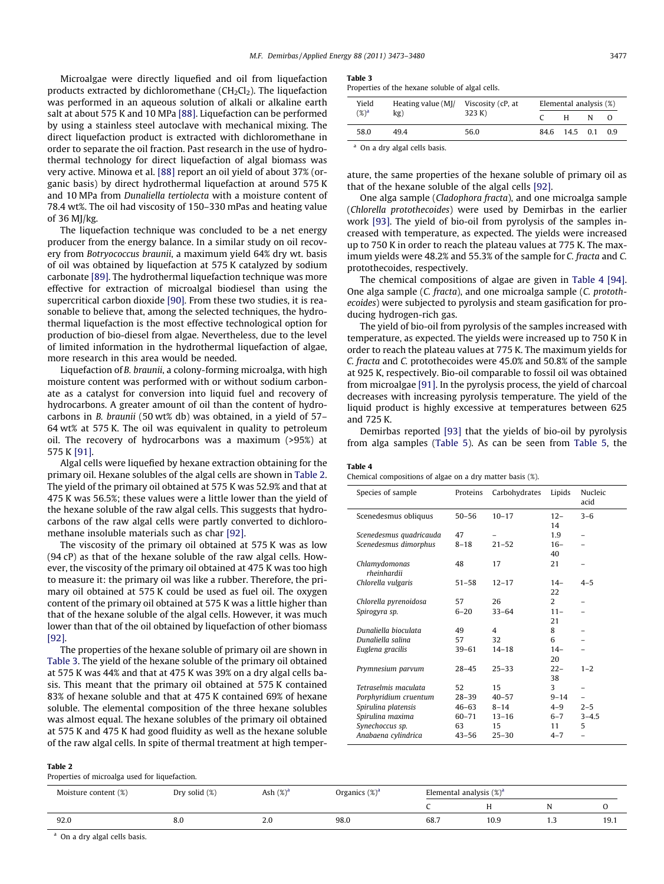Microalgae were directly liquefied and oil from liquefaction products extracted by dichloromethane  $(CH_2Cl_2)$ . The liquefaction was performed in an aqueous solution of alkali or alkaline earth salt at about 575 K and 10 MPa [\[88\].](#page-7-0) Liquefaction can be performed by using a stainless steel autoclave with mechanical mixing. The direct liquefaction product is extracted with dichloromethane in order to separate the oil fraction. Past research in the use of hydrothermal technology for direct liquefaction of algal biomass was very active. Minowa et al. [\[88\]](#page-7-0) report an oil yield of about 37% (organic basis) by direct hydrothermal liquefaction at around 575 K and 10 MPa from Dunaliella tertiolecta with a moisture content of 78.4 wt%. The oil had viscosity of 150–330 mPas and heating value of 36 MJ/kg.

The liquefaction technique was concluded to be a net energy producer from the energy balance. In a similar study on oil recovery from Botryococcus braunii, a maximum yield 64% dry wt. basis of oil was obtained by liquefaction at 575 K catalyzed by sodium carbonate [\[89\]](#page-7-0). The hydrothermal liquefaction technique was more effective for extraction of microalgal biodiesel than using the supercritical carbon dioxide [\[90\]](#page-7-0). From these two studies, it is reasonable to believe that, among the selected techniques, the hydrothermal liquefaction is the most effective technological option for production of bio-diesel from algae. Nevertheless, due to the level of limited information in the hydrothermal liquefaction of algae, more research in this area would be needed.

Liquefaction of B. braunii, a colony-forming microalga, with high moisture content was performed with or without sodium carbonate as a catalyst for conversion into liquid fuel and recovery of hydrocarbons. A greater amount of oil than the content of hydrocarbons in B. braunii (50 wt% db) was obtained, in a yield of 57– 64 wt% at 575 K. The oil was equivalent in quality to petroleum oil. The recovery of hydrocarbons was a maximum (>95%) at 575 K [\[91\]](#page-7-0).

Algal cells were liquefied by hexane extraction obtaining for the primary oil. Hexane solubles of the algal cells are shown in Table 2. The yield of the primary oil obtained at 575 K was 52.9% and that at 475 K was 56.5%; these values were a little lower than the yield of the hexane soluble of the raw algal cells. This suggests that hydrocarbons of the raw algal cells were partly converted to dichloromethane insoluble materials such as char [\[92\].](#page-7-0)

The viscosity of the primary oil obtained at 575 K was as low (94 cP) as that of the hexane soluble of the raw algal cells. However, the viscosity of the primary oil obtained at 475 K was too high to measure it: the primary oil was like a rubber. Therefore, the primary oil obtained at 575 K could be used as fuel oil. The oxygen content of the primary oil obtained at 575 K was a little higher than that of the hexane soluble of the algal cells. However, it was much lower than that of the oil obtained by liquefaction of other biomass [\[92\].](#page-7-0)

The properties of the hexane soluble of primary oil are shown in Table 3. The yield of the hexane soluble of the primary oil obtained at 575 K was 44% and that at 475 K was 39% on a dry algal cells basis. This meant that the primary oil obtained at 575 K contained 83% of hexane soluble and that at 475 K contained 69% of hexane soluble. The elemental composition of the three hexane solubles was almost equal. The hexane solubles of the primary oil obtained at 575 K and 475 K had good fluidity as well as the hexane soluble of the raw algal cells. In spite of thermal treatment at high temper-

#### Table 3

Properties of the hexane soluble of algal cells.

| Yield   | Heating value $(M)/$ | Viscosity (cP, at | Elemental analysis (%) |                   |   |  |  |
|---------|----------------------|-------------------|------------------------|-------------------|---|--|--|
| $(%)^a$ | kg)                  | 323 K             |                        | H                 | N |  |  |
| 58.0    | 494                  | 56.0              |                        | 84.6 14.5 0.1 0.9 |   |  |  |
|         | .                    |                   |                        |                   |   |  |  |

<sup>a</sup> On a dry algal cells basis.

ature, the same properties of the hexane soluble of primary oil as that of the hexane soluble of the algal cells [\[92\]](#page-7-0).

One alga sample (Cladophora fracta), and one microalga sample (Chlorella protothecoides) were used by Demirbas in the earlier work [\[93\].](#page-7-0) The yield of bio-oil from pyrolysis of the samples increased with temperature, as expected. The yields were increased up to 750 K in order to reach the plateau values at 775 K. The maximum yields were 48.2% and 55.3% of the sample for C. fracta and C. protothecoides, respectively.

The chemical compositions of algae are given in Table 4 [\[94\].](#page-7-0) One alga sample (C. fracta), and one microalga sample (C. protothecoides) were subjected to pyrolysis and steam gasification for producing hydrogen-rich gas.

The yield of bio-oil from pyrolysis of the samples increased with temperature, as expected. The yields were increased up to 750 K in order to reach the plateau values at 775 K. The maximum yields for C. fracta and C. protothecoides were 45.0% and 50.8% of the sample at 925 K, respectively. Bio-oil comparable to fossil oil was obtained from microalgae [\[91\].](#page-7-0) In the pyrolysis process, the yield of charcoal decreases with increasing pyrolysis temperature. The yield of the liquid product is highly excessive at temperatures between 625 and 725 K.

Demirbas reported [\[93\]](#page-7-0) that the yields of bio-oil by pyrolysis from alga samples ([Table 5\)](#page-5-0). As can be seen from [Table 5](#page-5-0), the

#### Table 4

Chemical compositions of algae on a dry matter basis (%).

| Species of sample       | Proteins  | Carbohydrates | Lipids        | Nucleic<br>acid |
|-------------------------|-----------|---------------|---------------|-----------------|
| Scenedesmus obliquus    | $50 - 56$ | $10 - 17$     | $12 -$        | $3 - 6$         |
|                         |           |               | 14            |                 |
| Scenedesmus quadricauda | 47        |               | 1.9           |                 |
| Scenedesmus dimorphus   | $8 - 18$  | $21 - 52$     | $16 -$        |                 |
|                         |           |               | 40            |                 |
| Chlamydomonas           | 48        | 17            | 21            |                 |
| rheinhardii             |           |               |               |                 |
| Chlorella vulgaris      | $51 - 58$ | $12 - 17$     | $14-$         | $4 - 5$         |
|                         |           |               | 22            |                 |
| Chlorella pyrenoidosa   | 57        | 26            | $\mathcal{L}$ |                 |
| Spirogyra sp.           | $6 - 20$  | $33 - 64$     | $11 -$        |                 |
|                         |           |               | 21            |                 |
| Dunaliella bioculata    | 49        | 4             | 8             |                 |
| Dunaliella salina       | 57        | 32            | 6             |                 |
| Euglena gracilis        | $39 - 61$ | $14 - 18$     | $14-$         |                 |
|                         |           |               | 20            |                 |
| Prymnesium parvum       | $28 - 45$ | $25 - 33$     | $22 -$        | $1 - 2$         |
|                         |           |               | 38            |                 |
| Tetraselmis maculata    | 52        | 15            | 3             |                 |
| Porphyridium cruentum   | $28 - 39$ | $40 - 57$     | $9 - 14$      |                 |
| Spirulina platensis     | $46 - 63$ | $8 - 14$      | $4 - 9$       | $2 - 5$         |
| Spirulina maxima        | $60 - 71$ | $13 - 16$     | $6 - 7$       | $3 - 4.5$       |
| Synechoccus sp.         | 63        | 15            | 11            | 5               |
| Anabaena cylindrica     | $43 - 56$ | $25 - 30$     | $4 - 7$       |                 |

#### Table 2

Properties of microalga used for liquefaction.

| Moisture content (%) | Dry solid $(\%)$ | Ash $(%)a$ | Organics $(\%)^a$ | Elemental analysis $(\%)^a$ |      |     |      |
|----------------------|------------------|------------|-------------------|-----------------------------|------|-----|------|
|                      |                  |            |                   |                             |      |     |      |
| 92.0                 | 8.0              | 2.0        | 98.0              | 68.7                        | 10.9 | 1.3 | 19.1 |

<sup>a</sup> On a dry algal cells basis.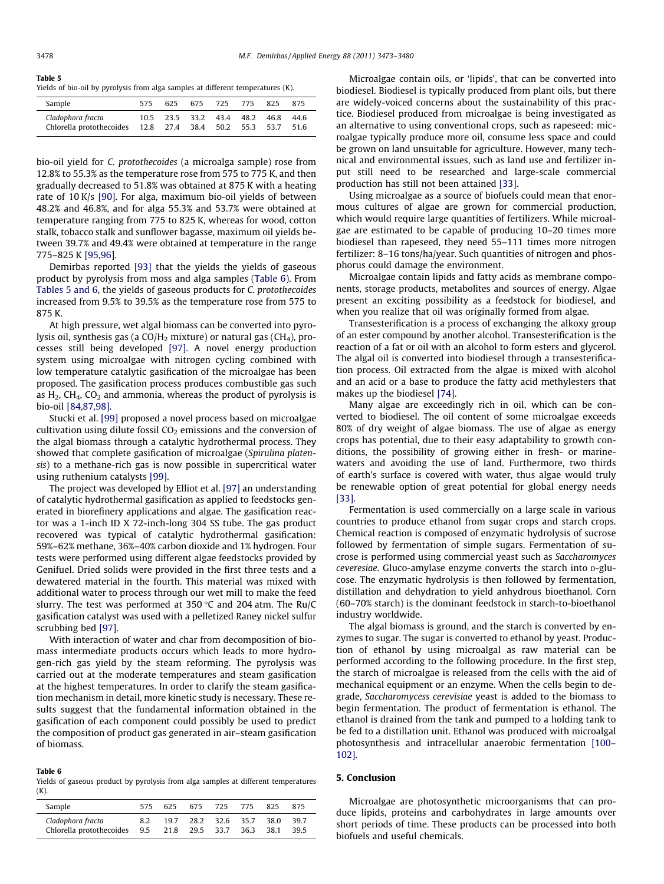#### <span id="page-5-0"></span>Table 5

Yields of bio-oil by pyrolysis from alga samples at different temperatures (K).

| Sample                                                            | 575 | 625            | 675 |      | 725 775 | 825               | 875          |
|-------------------------------------------------------------------|-----|----------------|-----|------|---------|-------------------|--------------|
| Cladophora fracta<br>Chlorella protothecoides 12.8 27.4 38.4 50.2 |     | 10.5 23.5 33.2 |     | 43.4 | 48.2    | 46.8<br>55.3 53.7 | 44.6<br>51.6 |

bio-oil yield for C. protothecoides (a microalga sample) rose from 12.8% to 55.3% as the temperature rose from 575 to 775 K, and then gradually decreased to 51.8% was obtained at 875 K with a heating rate of 10 K/s [\[90\].](#page-7-0) For alga, maximum bio-oil yields of between 48.2% and 46.8%, and for alga 55.3% and 53.7% were obtained at temperature ranging from 775 to 825 K, whereas for wood, cotton stalk, tobacco stalk and sunflower bagasse, maximum oil yields between 39.7% and 49.4% were obtained at temperature in the range 775–825 K [\[95,96\].](#page-7-0)

Demirbas reported [\[93\]](#page-7-0) that the yields the yields of gaseous product by pyrolysis from moss and alga samples (Table 6). From Tables 5 and 6, the yields of gaseous products for C. protothecoides increased from 9.5% to 39.5% as the temperature rose from 575 to 875 K.

At high pressure, wet algal biomass can be converted into pyrolysis oil, synthesis gas (a  $CO/H<sub>2</sub>$  mixture) or natural gas (CH<sub>4</sub>), processes still being developed [\[97\].](#page-7-0) A novel energy production system using microalgae with nitrogen cycling combined with low temperature catalytic gasification of the microalgae has been proposed. The gasification process produces combustible gas such as  $H_2$ ,  $CH_4$ ,  $CO_2$  and ammonia, whereas the product of pyrolysis is bio-oil [\[84,87,98\]](#page-7-0).

Stucki et al. [\[99\]](#page-7-0) proposed a novel process based on microalgae cultivation using dilute fossil  $CO<sub>2</sub>$  emissions and the conversion of the algal biomass through a catalytic hydrothermal process. They showed that complete gasification of microalgae (Spirulina platensis) to a methane-rich gas is now possible in supercritical water using ruthenium catalysts [\[99\].](#page-7-0)

The project was developed by Elliot et al. [\[97\]](#page-7-0) an understanding of catalytic hydrothermal gasification as applied to feedstocks generated in biorefinery applications and algae. The gasification reactor was a 1-inch ID X 72-inch-long 304 SS tube. The gas product recovered was typical of catalytic hydrothermal gasification: 59%–62% methane, 36%–40% carbon dioxide and 1% hydrogen. Four tests were performed using different algae feedstocks provided by Genifuel. Dried solids were provided in the first three tests and a dewatered material in the fourth. This material was mixed with additional water to process through our wet mill to make the feed slurry. The test was performed at 350  $\degree$ C and 204 atm. The Ru/C gasification catalyst was used with a pelletized Raney nickel sulfur scrubbing bed [\[97\].](#page-7-0)

With interaction of water and char from decomposition of biomass intermediate products occurs which leads to more hydrogen-rich gas yield by the steam reforming. The pyrolysis was carried out at the moderate temperatures and steam gasification at the highest temperatures. In order to clarify the steam gasification mechanism in detail, more kinetic study is necessary. These results suggest that the fundamental information obtained in the gasification of each component could possibly be used to predict the composition of product gas generated in air–steam gasification of biomass.

#### Table 6

Yields of gaseous product by pyrolysis from alga samples at different temperatures  $(K)$ .

| Sample                                                                     | 575 | 625  | 675 725 | 775            | 825  | 875           |
|----------------------------------------------------------------------------|-----|------|---------|----------------|------|---------------|
| Cladophora fracta<br>Chlorella protothecoides 9.5 21.8 29.5 33.7 36.3 38.1 | 8.2 | 19.7 |         | 28.2 32.6 35.7 | 38.0 | -39.7<br>39.5 |

Microalgae contain oils, or 'lipids', that can be converted into biodiesel. Biodiesel is typically produced from plant oils, but there are widely-voiced concerns about the sustainability of this practice. Biodiesel produced from microalgae is being investigated as an alternative to using conventional crops, such as rapeseed: microalgae typically produce more oil, consume less space and could be grown on land unsuitable for agriculture. However, many technical and environmental issues, such as land use and fertilizer input still need to be researched and large-scale commercial production has still not been attained [\[33\].](#page-6-0)

Using microalgae as a source of biofuels could mean that enormous cultures of algae are grown for commercial production, which would require large quantities of fertilizers. While microalgae are estimated to be capable of producing 10–20 times more biodiesel than rapeseed, they need 55–111 times more nitrogen fertilizer: 8–16 tons/ha/year. Such quantities of nitrogen and phosphorus could damage the environment.

Microalgae contain lipids and fatty acids as membrane components, storage products, metabolites and sources of energy. Algae present an exciting possibility as a feedstock for biodiesel, and when you realize that oil was originally formed from algae.

Transesterification is a process of exchanging the alkoxy group of an ester compound by another alcohol. Transesterification is the reaction of a fat or oil with an alcohol to form esters and glycerol. The algal oil is converted into biodiesel through a transesterification process. Oil extracted from the algae is mixed with alcohol and an acid or a base to produce the fatty acid methylesters that makes up the biodiesel [\[74\].](#page-7-0)

Many algae are exceedingly rich in oil, which can be converted to biodiesel. The oil content of some microalgae exceeds 80% of dry weight of algae biomass. The use of algae as energy crops has potential, due to their easy adaptability to growth conditions, the possibility of growing either in fresh- or marinewaters and avoiding the use of land. Furthermore, two thirds of earth's surface is covered with water, thus algae would truly be renewable option of great potential for global energy needs [\[33\]](#page-6-0).

Fermentation is used commercially on a large scale in various countries to produce ethanol from sugar crops and starch crops. Chemical reaction is composed of enzymatic hydrolysis of sucrose followed by fermentation of simple sugars. Fermentation of sucrose is performed using commercial yeast such as Saccharomyces ceveresiae. Gluco-amylase enzyme converts the starch into D-glucose. The enzymatic hydrolysis is then followed by fermentation, distillation and dehydration to yield anhydrous bioethanol. Corn (60–70% starch) is the dominant feedstock in starch-to-bioethanol industry worldwide.

The algal biomass is ground, and the starch is converted by enzymes to sugar. The sugar is converted to ethanol by yeast. Production of ethanol by using microalgal as raw material can be performed according to the following procedure. In the first step, the starch of microalgae is released from the cells with the aid of mechanical equipment or an enzyme. When the cells begin to degrade, Saccharomycess cerevisiae yeast is added to the biomass to begin fermentation. The product of fermentation is ethanol. The ethanol is drained from the tank and pumped to a holding tank to be fed to a distillation unit. Ethanol was produced with microalgal photosynthesis and intracellular anaerobic fermentation [\[100–](#page-7-0) [102\].](#page-7-0)

#### 5. Conclusion

Microalgae are photosynthetic microorganisms that can produce lipids, proteins and carbohydrates in large amounts over short periods of time. These products can be processed into both biofuels and useful chemicals.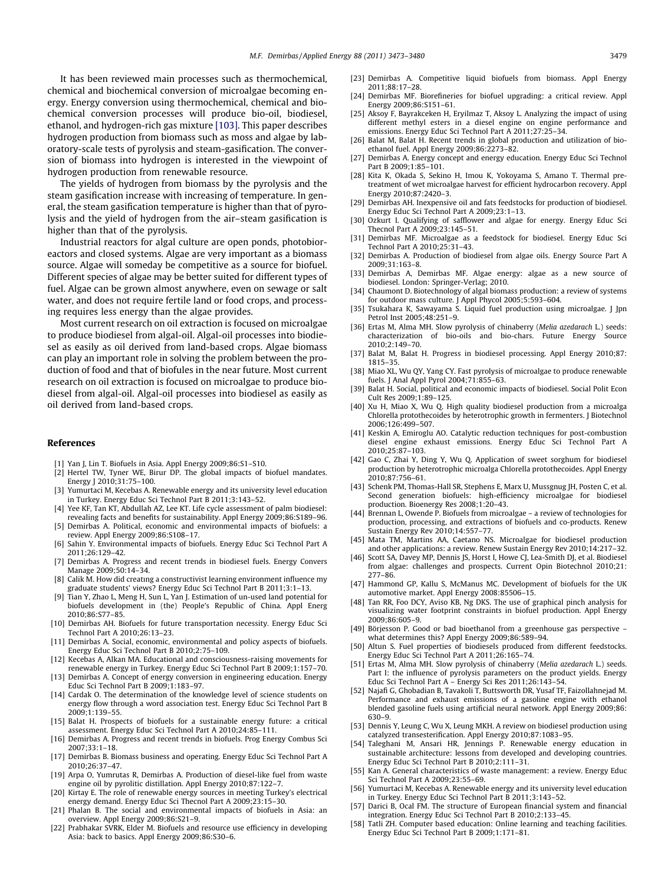<span id="page-6-0"></span>It has been reviewed main processes such as thermochemical, chemical and biochemical conversion of microalgae becoming energy. Energy conversion using thermochemical, chemical and biochemical conversion processes will produce bio-oil, biodiesel, ethanol, and hydrogen-rich gas mixture [\[103\]](#page-7-0). This paper describes hydrogen production from biomass such as moss and algae by laboratory-scale tests of pyrolysis and steam-gasification. The conversion of biomass into hydrogen is interested in the viewpoint of hydrogen production from renewable resource.

The yields of hydrogen from biomass by the pyrolysis and the steam gasification increase with increasing of temperature. In general, the steam gasification temperature is higher than that of pyrolysis and the yield of hydrogen from the air–steam gasification is higher than that of the pyrolysis.

Industrial reactors for algal culture are open ponds, photobioreactors and closed systems. Algae are very important as a biomass source. Algae will someday be competitive as a source for biofuel. Different species of algae may be better suited for different types of fuel. Algae can be grown almost anywhere, even on sewage or salt water, and does not require fertile land or food crops, and processing requires less energy than the algae provides.

Most current research on oil extraction is focused on microalgae to produce biodiesel from algal-oil. Algal-oil processes into biodiesel as easily as oil derived from land-based crops. Algae biomass can play an important role in solving the problem between the production of food and that of biofules in the near future. Most current research on oil extraction is focused on microalgae to produce biodiesel from algal-oil. Algal-oil processes into biodiesel as easily as oil derived from land-based crops.

#### References

- [1] Yan J, Lin T. Biofuels in Asia. Appl Energy 2009;86:S1–S10.
- [2] Hertel TW, Tyner WE, Birur DP. The global impacts of biofuel mandates. Energy J 2010;31:75–100.
- [3] Yumurtaci M, Kecebas A. Renewable energy and its university level education in Turkey. Energy Educ Sci Technol Part B 2011;3:143–52.
- [4] Yee KF, Tan KT, Abdullah AZ, Lee KT. Life cycle assessment of palm biodiesel: revealing facts and benefits for sustainability. Appl Energy 2009;86:S189–96.
- [5] Demirbas A. Political, economic and environmental impacts of biofuels: a review. Appl Energy 2009;86:S108–17.
- [6] Sahin Y. Environmental impacts of biofuels. Energy Educ Sci Technol Part A 2011;26:129–42.
- [7] Demirbas A. Progress and recent trends in biodiesel fuels. Energy Convers Manage 2009;50:14–34.
- [8] Calik M. How did creatıng a constructivist learning environment influence my graduate students' views? Energy Educ Sci Technol Part B 2011;3:1–13.
- [9] Tian Y, Zhao L, Meng H, Sun L, Yan J. Estimation of un-used land potential for biofuels development in (the) People's Republic of China. Appl Energ 2010;86:S77–85.
- [10] Demirbas AH. Biofuels for future transportation necessity. Energy Educ Sci Technol Part A 2010;26:13–23.
- [11] Demirbas A. Social, economic, environmental and policy aspects of biofuels. Energy Educ Sci Technol Part B 2010;2:75–109.
- [12] Kecebas A, Alkan MA. Educational and consciousness-raising movements for renewable energy in Turkey. Energy Educ Sci Technol Part B 2009;1:157–70.
- [13] Demirbas A. Concept of energy conversion in engineering education. Energy Educ Sci Technol Part B 2009;1:183–97.
- [14] Cardak O. The determination of the knowledge level of science students on energy flow through a word association test. Energy Educ Sci Technol Part B 2009;1:139–55.
- [15] Balat H. Prospects of biofuels for a sustainable energy future: a critical assessment. Energy Educ Sci Technol Part A 2010;24:85–111.
- [16] Demirbas A. Progress and recent trends in biofuels. Prog Energy Combus Sci 2007;33:1–18.
- [17] Demirbas B. Biomass business and operating. Energy Educ Sci Technol Part A 2010;26:37–47.
- [19] Arpa O, Yumrutas R, Demirbas A. Production of diesel-like fuel from waste engine oil by pyrolitic distillation. Appl Energy 2010;87:122–7.
- [20] Kirtay E. The role of renewable energy sources in meeting Turkey's electrical energy demand. Energy Educ Sci Thecnol Part A 2009;23:15–30.
- [21] Phalan B. The social and environmental impacts of biofuels in Asia: an overview. Appl Energy 2009;86:S21–9.
- [22] Prabhakar SVRK, Elder M. Biofuels and resource use efficiency in developing Asia: back to basics. Appl Energy 2009;86:S30–6.
- [23] Demirbas A. Competitive liquid biofuels from biomass. Appl Energy 2011;88:17–28.
- [24] Demirbas MF. Biorefineries for biofuel upgrading: a critical review. Appl Energy 2009;86:S151–61.
- [25] Aksoy F, Bayrakceken H, Eryilmaz T, Aksoy L. Analyzing the impact of using different methyl esters in a diesel engine on engine performance and emissions. Energy Educ Sci Technol Part A 2011;27:25–34.
- [26] Balat M, Balat H. Recent trends in global production and utilization of bioethanol fuel. Appl Energy 2009;86:2273–82.
- [27] Demirbas A. Energy concept and energy education. Energy Educ Sci Technol Part B 2009;1:85–101.
- [28] Kita K, Okada S, Sekino H, Imou K, Yokoyama S, Amano T. Thermal pretreatment of wet microalgae harvest for efficient hydrocarbon recovery. Appl Energy 2010;87:2420–3.
- [29] Demirbas AH. Inexpensive oil and fats feedstocks for production of biodiesel. Energy Educ Sci Technol Part A 2009;23:1–13.
- [30] Ozkurt I. Qualifying of safflower and algae for energy. Energy Educ Sci Thecnol Part A 2009;23:145–51.
- [31] Demirbas MF. Microalgae as a feedstock for biodiesel. Energy Educ Sci Technol Part A 2010;25:31–43.
- [32] Demirbas A. Production of biodiesel from algae oils. Energy Source Part A 2009;31:163–8.
- [33] Demirbas A, Demirbas MF. Algae energy: algae as a new source of biodiesel. London: Springer-Verlag; 2010.
- [34] Chaumont D. Biotechnology of algal biomass production: a review of systems for outdoor mass culture. J Appl Phycol 2005;5:593–604.
- [35] Tsukahara K, Sawayama S. Liquid fuel production using microalgae. J Jpn Petrol Inst 2005;48:251–9.
- [36] Ertas M, Alma MH. Slow pyrolysis of chinaberry (Melia azedarach L.) seeds: characterization of bio-oils and bio-chars. Future Energy Source 2010;2:149–70.
- [37] Balat M, Balat H. Progress in biodiesel processing. Appl Energy 2010;87: 1815–35.
- [38] Miao XL, Wu QY, Yang CY. Fast pyrolysis of microalgae to produce renewable fuels. J Anal Appl Pyrol 2004;71:855–63.
- [39] Balat H. Social, political and economic impacts of biodiesel. Social Polit Econ Cult Res 2009;1:89–125.
- [40] Xu H, Miao X, Wu Q. High quality biodiesel production from a microalga Chlorella protothecoides by heterotrophic growth in fermenters. J Biotechnol 2006;126:499–507.
- [41] Keskin A, Emiroglu AO. Catalytic reduction techniques for post-combustion diesel engine exhaust emissions. Energy Educ Sci Technol Part A 2010;25:87–103.
- [42] Gao C, Zhai Y, Ding Y, Wu Q. Application of sweet sorghum for biodiesel production by heterotrophic microalga Chlorella protothecoides. Appl Energy 2010;87:756–61.
- [43] Schenk PM, Thomas-Hall SR, Stephens E, Marx U, Mussgnug JH, Posten C, et al. Second generation biofuels: high-efficiency microalgae for biodiesel production. Bioenergy Res 2008;1:20–43.
- [44] Brennan L, Owende P. Biofuels from microalgae a review of technologies for production, processing, and extractions of biofuels and co-products. Renew Sustain Energy Rev 2010;14:557–77.
- [45] Mata TM, Martins AA, Caetano NS. Microalgae for biodiesel production and other applications: a review. Renew Sustain Energy Rev 2010;14:217–32.
- [46] Scott SA, Davey MP, Dennis JS, Horst I, Howe CJ, Lea-Smith DJ, et al. Biodiesel from algae: challenges and prospects. Current Opin Biotechnol 2010;21: 277–86.
- [47] Hammond GP, Kallu S, McManus MC. Development of biofuels for the UK automotive market. Appl Energy 2008:85506–15.
- [48] Tan RR, Foo DCY, Aviso KB, Ng DKS. The use of graphical pinch analysis for visualizing water footprint constraints in biofuel production. Appl Energy 2009;86:605–9.
- [49] Börjesson P. Good or bad bioethanol from a greenhouse gas perspective what determines this? Appl Energy 2009;86:589–94.
- [50] Altun S. Fuel properties of biodiesels produced from different feedstocks. Energy Educ Sci Technol Part A 2011;26:165–74.
- [51] Ertas M, Alma MH. Slow pyrolysis of chinaberry (Melia azedarach L.) seeds. Part I: the influence of pyrolysis parameters on the product yields. Energy Educ Sci Technol Part A – Energy Sci Res 2011;26:143–54.
- [52] Najafi G, Ghobadian B, Tavakoli T, Buttsworth DR, Yusaf TF, Faizollahnejad M. Performance and exhaust emissions of a gasoline engine with ethanol blended gasoline fuels using artificial neural network. Appl Energy 2009;86: 630–9.
- [53] Dennis Y, Leung C, Wu X, Leung MKH. A review on biodiesel production using catalyzed transesterification. Appl Energy 2010;87:1083–95.
- [54] Taleghani M, Ansari HR, Jennings P. Renewable energy education in sustainable architecture: lessons from developed and developing countries. Energy Educ Sci Technol Part B 2010;2:111–31.
- [55] Kan A. General characteristics of waste management: a review. Energy Educ Sci Technol Part A 2009;23:55–69.
- [56] Yumurtaci M, Kecebas A. Renewable energy and its university level education in Turkey. Energy Educ Sci Technol Part B 2011;3:143–52.
- Darici B, Ocal FM. The structure of European financial system and financial integration. Energy Educ Sci Technol Part B 2010;2:133–45.
- [58] Tatli ZH. Computer based education: Online learning and teaching facilities. Energy Educ Sci Technol Part B 2009;1:171–81.